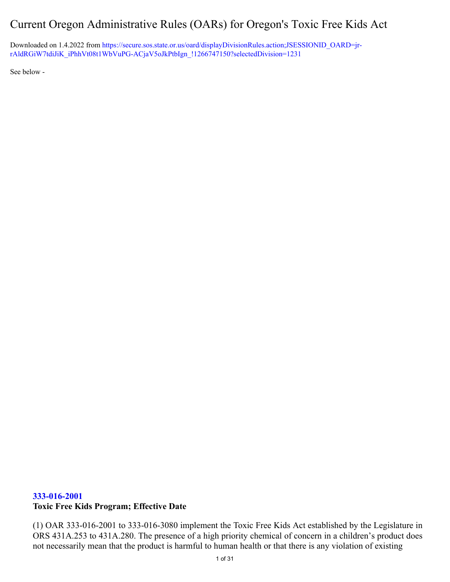# Current Oregon Administrative Rules (OARs) for Oregon's Toxic Free Kids Act

Downloaded on 1.4.2022 from [https://secure.sos.state.or.us/oard/displayDivisionRules.action;JSESSIONID\\_OARD=jr](https://secure.sos.state.or.us/oard/displayDivisionRules.action;JSESSIONID_OARD=jr-rAldRGiW7tdiJiK_iPhhVt08t1WbVuPG-ACjaV5oJkPtbIgn_!1266747150?selectedDivision=1231)[rAldRGiW7tdiJiK\\_iPhhVt08t1WbVuPG-ACjaV5oJkPtbIgn\\_!1266747150?selectedDivision=1231](https://secure.sos.state.or.us/oard/displayDivisionRules.action;JSESSIONID_OARD=jr-rAldRGiW7tdiJiK_iPhhVt08t1WbVuPG-ACjaV5oJkPtbIgn_!1266747150?selectedDivision=1231)

See below -

#### **333-016-2001**

#### **Toxic Free Kids Program; Effective Date**

(1) OAR 333-016-2001 to 333-016-3080 implement the Toxic Free Kids Act established by the Legislature in ORS 431A.253 to 431A.280. The presence of a high priority chemical of concern in a children's product does not necessarily mean that the product is harmful to human health or that there is any violation of existing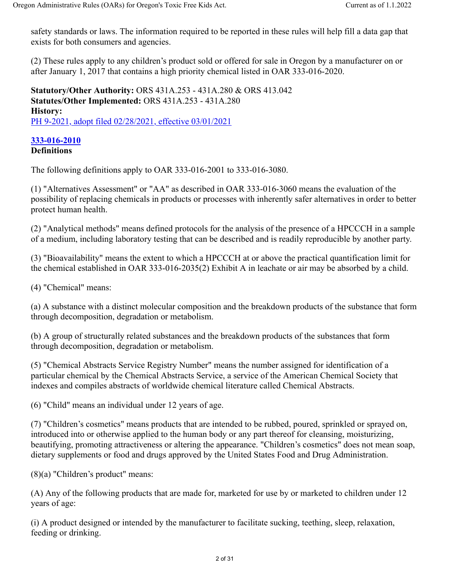safety standards or laws. The information required to be reported in these rules will help fill a data gap that exists for both consumers and agencies.

(2) These rules apply to any children's product sold or offered for sale in Oregon by a manufacturer on or after January 1, 2017 that contains a high priority chemical listed in OAR 333-016-2020.

**Statutory/Other Authority:** ORS 431A.253 - 431A.280 & ORS 413.042 **Statutes/Other Implemented:** ORS 431A.253 - 431A.280 **History:** PH 9-2021, adopt filed 02/28/2021, effective 03/01/2021

#### **333-016-2010 Definitions**

The following definitions apply to OAR 333-016-2001 to 333-016-3080.

(1) "Alternatives Assessment" or "AA" as described in OAR 333-016-3060 means the evaluation of the possibility of replacing chemicals in products or processes with inherently safer alternatives in order to better protect human health.

(2) "Analytical methods" means defined protocols for the analysis of the presence of a HPCCCH in a sample of a medium, including laboratory testing that can be described and is readily reproducible by another party.

(3) "Bioavailability" means the extent to which a HPCCCH at or above the practical quantification limit for the chemical established in OAR 333-016-2035(2) Exhibit A in leachate or air may be absorbed by a child.

(4) "Chemical" means:

(a) A substance with a distinct molecular composition and the breakdown products of the substance that form through decomposition, degradation or metabolism.

(b) A group of structurally related substances and the breakdown products of the substances that form through decomposition, degradation or metabolism.

(5) "Chemical Abstracts Service Registry Number" means the number assigned for identification of a particular chemical by the Chemical Abstracts Service, a service of the American Chemical Society that indexes and compiles abstracts of worldwide chemical literature called Chemical Abstracts.

(6) "Child" means an individual under 12 years of age.

(7) "Children's cosmetics" means products that are intended to be rubbed, poured, sprinkled or sprayed on, introduced into or otherwise applied to the human body or any part thereof for cleansing, moisturizing, beautifying, promoting attractiveness or altering the appearance. "Children's cosmetics" does not mean soap, dietary supplements or food and drugs approved by the United States Food and Drug Administration.

(8)(a) "Children's product" means:

(A) Any of the following products that are made for, marketed for use by or marketed to children under 12 years of age:

(i) A product designed or intended by the manufacturer to facilitate sucking, teething, sleep, relaxation, feeding or drinking.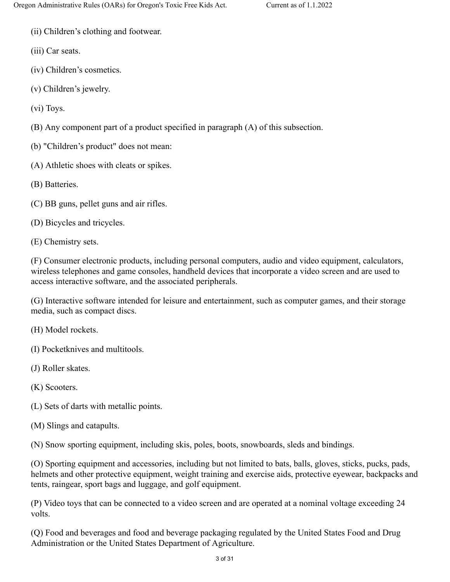- (ii) Children's clothing and footwear.
- (iii) Car seats.
- (iv) Children's cosmetics.
- (v) Children's jewelry.
- (vi) Toys.
- (B) Any component part of a product specified in paragraph (A) of this subsection.
- (b) "Children's product" does not mean:
- (A) Athletic shoes with cleats or spikes.
- (B) Batteries.
- (C) BB guns, pellet guns and air rifles.
- (D) Bicycles and tricycles.
- (E) Chemistry sets.

(F) Consumer electronic products, including personal computers, audio and video equipment, calculators, wireless telephones and game consoles, handheld devices that incorporate a video screen and are used to access interactive software, and the associated peripherals.

(G) Interactive software intended for leisure and entertainment, such as computer games, and their storage media, such as compact discs.

- (H) Model rockets.
- (I) Pocketknives and multitools.
- (J) Roller skates.
- (K) Scooters.
- (L) Sets of darts with metallic points.
- (M) Slings and catapults.

(N) Snow sporting equipment, including skis, poles, boots, snowboards, sleds and bindings.

(O) Sporting equipment and accessories, including but not limited to bats, balls, gloves, sticks, pucks, pads, helmets and other protective equipment, weight training and exercise aids, protective eyewear, backpacks and tents, raingear, sport bags and luggage, and golf equipment.

(P) Video toys that can be connected to a video screen and are operated at a nominal voltage exceeding 24 volts.

(Q) Food and beverages and food and beverage packaging regulated by the United States Food and Drug Administration or the United States Department of Agriculture.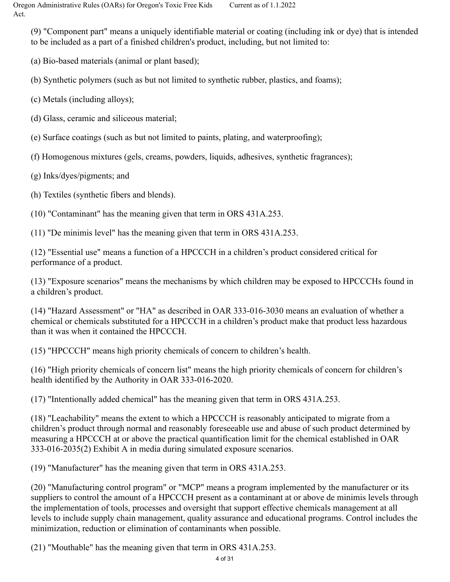(9) "Component part" means a uniquely identifiable material or coating (including ink or dye) that is intended to be included as a part of a finished children's product, including, but not limited to:

(a) Bio-based materials (animal or plant based);

(b) Synthetic polymers (such as but not limited to synthetic rubber, plastics, and foams);

(c) Metals (including alloys);

(d) Glass, ceramic and siliceous material;

(e) Surface coatings (such as but not limited to paints, plating, and waterproofing);

(f) Homogenous mixtures (gels, creams, powders, liquids, adhesives, synthetic fragrances);

(g) Inks/dyes/pigments; and

(h) Textiles (synthetic fibers and blends).

(10) "Contaminant" has the meaning given that term in ORS 431A.253.

(11) "De minimis level" has the meaning given that term in ORS 431A.253.

(12) "Essential use" means a function of a HPCCCH in a children's product considered critical for performance of a product.

(13) "Exposure scenarios" means the mechanisms by which children may be exposed to HPCCCHs found in a children's product.

(14) "Hazard Assessment" or "HA" as described in OAR 333-016-3030 means an evaluation of whether a chemical or chemicals substituted for a HPCCCH in a children's product make that product less hazardous than it was when it contained the HPCCCH.

(15) "HPCCCH" means high priority chemicals of concern to children's health.

(16) "High priority chemicals of concern list" means the high priority chemicals of concern for children's health identified by the Authority in OAR 333-016-2020.

(17) "Intentionally added chemical" has the meaning given that term in ORS 431A.253.

(18) "Leachability" means the extent to which a HPCCCH is reasonably anticipated to migrate from a children's product through normal and reasonably foreseeable use and abuse of such product determined by measuring a HPCCCH at or above the practical quantification limit for the chemical established in OAR 333-016-2035(2) Exhibit A in media during simulated exposure scenarios.

(19) "Manufacturer" has the meaning given that term in ORS 431A.253.

(20) "Manufacturing control program" or "MCP" means a program implemented by the manufacturer or its suppliers to control the amount of a HPCCCH present as a contaminant at or above de minimis levels through the implementation of tools, processes and oversight that support effective chemicals management at all levels to include supply chain management, quality assurance and educational programs. Control includes the minimization, reduction or elimination of contaminants when possible.

(21) "Mouthable" has the meaning given that term in ORS 431A.253.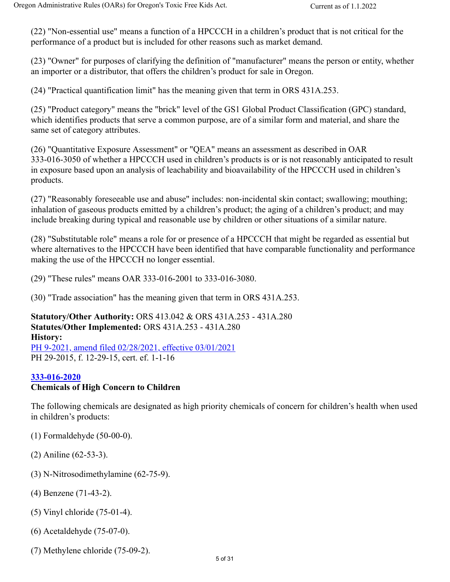(22) "Non-essential use" means a function of a HPCCCH in a children's product that is not critical for the performance of a product but is included for other reasons such as market demand.

(23) "Owner" for purposes of clarifying the definition of "manufacturer" means the person or entity, whether an importer or a distributor, that offers the children's product for sale in Oregon.

(24) "Practical quantification limit" has the meaning given that term in ORS 431A.253.

(25) "Product category" means the "brick" level of the GS1 Global Product Classification (GPC) standard, which identifies products that serve a common purpose, are of a similar form and material, and share the same set of category attributes.

(26) "Quantitative Exposure Assessment" or "QEA" means an assessment as described in OAR 333-016-3050 of whether a HPCCCH used in children's products is or is not reasonably anticipated to result in exposure based upon an analysis of leachability and bioavailability of the HPCCCH used in children's products.

(27) "Reasonably foreseeable use and abuse" includes: non-incidental skin contact; swallowing; mouthing; inhalation of gaseous products emitted by a children's product; the aging of a children's product; and may include breaking during typical and reasonable use by children or other situations of a similar nature.

(28) "Substitutable role" means a role for or presence of a HPCCCH that might be regarded as essential but where alternatives to the HPCCCH have been identified that have comparable functionality and performance making the use of the HPCCCH no longer essential.

(29) "These rules" means OAR 333-016-2001 to 333-016-3080.

(30) "Trade association" has the meaning given that term in ORS 431A.253.

**Statutory/Other Authority:** ORS 413.042 & ORS 431A.253 - 431A.280 **Statutes/Other Implemented:** ORS 431A.253 - 431A.280 **History:** PH 9-2021, amend filed 02/28/2021, effective 03/01/2021

PH 29-2015, f. 12-29-15, cert. ef. 1-1-16

#### **333-016-2020**

### **Chemicals of High Concern to Children**

The following chemicals are designated as high priority chemicals of concern for children's health when used in children's products:

- (1) Formaldehyde (50-00-0).
- (2) Aniline (62-53-3).
- (3) N-Nitrosodimethylamine (62-75-9).
- (4) Benzene (71-43-2).
- (5) Vinyl chloride (75-01-4).
- (6) Acetaldehyde (75-07-0).
- (7) Methylene chloride (75-09-2).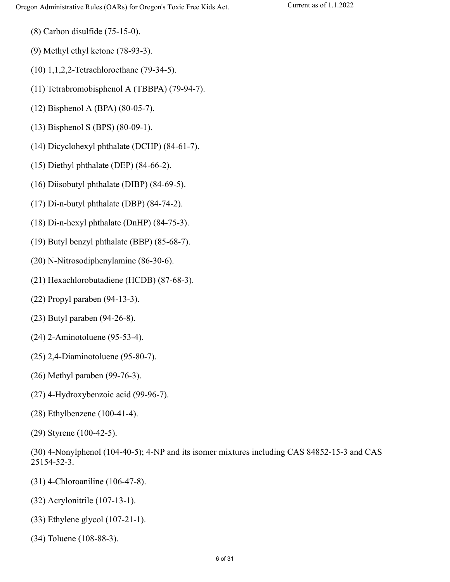- (8) Carbon disulfide (75-15-0).
- (9) Methyl ethyl ketone (78-93-3).
- (10) 1,1,2,2-Tetrachloroethane (79-34-5).
- (11) Tetrabromobisphenol A (TBBPA) (79-94-7).
- (12) Bisphenol A (BPA) (80-05-7).
- (13) Bisphenol S (BPS) (80-09-1).
- (14) Dicyclohexyl phthalate (DCHP) (84-61-7).
- (15) Diethyl phthalate (DEP) (84-66-2).
- (16) Diisobutyl phthalate (DIBP) (84-69-5).
- (17) Di-n-butyl phthalate (DBP) (84-74-2).
- (18) Di-n-hexyl phthalate (DnHP) (84-75-3).
- (19) Butyl benzyl phthalate (BBP) (85-68-7).
- (20) N-Nitrosodiphenylamine (86-30-6).
- (21) Hexachlorobutadiene (HCDB) (87-68-3).
- (22) Propyl paraben (94-13-3).
- (23) Butyl paraben (94-26-8).
- (24) 2-Aminotoluene (95-53-4).
- (25) 2,4-Diaminotoluene (95-80-7).
- (26) Methyl paraben (99-76-3).
- (27) 4-Hydroxybenzoic acid (99-96-7).
- (28) Ethylbenzene (100-41-4).
- (29) Styrene (100-42-5).
- (30) 4-Nonylphenol (104-40-5); 4-NP and its isomer mixtures including CAS 84852-15-3 and CAS 25154-52-3.
- (31) 4-Chloroaniline (106-47-8).
- (32) Acrylonitrile (107-13-1).
- (33) Ethylene glycol (107-21-1).
- (34) Toluene (108-88-3).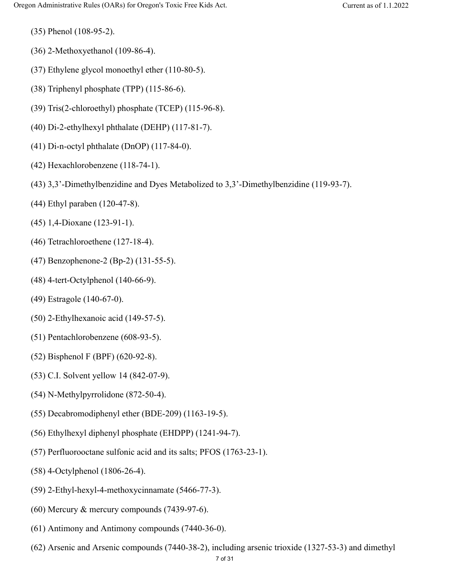(35) Phenol (108-95-2).

- (36) 2-Methoxyethanol (109-86-4).
- (37) Ethylene glycol monoethyl ether (110-80-5).
- (38) Triphenyl phosphate (TPP) (115-86-6).
- (39) Tris(2-chloroethyl) phosphate (TCEP) (115-96-8).
- (40) Di-2-ethylhexyl phthalate (DEHP) (117-81-7).
- (41) Di-n-octyl phthalate (DnOP) (117-84-0).
- (42) Hexachlorobenzene (118-74-1).
- (43) 3,3'-Dimethylbenzidine and Dyes Metabolized to 3,3'-Dimethylbenzidine (119-93-7).
- (44) Ethyl paraben (120-47-8).
- (45) 1,4-Dioxane (123-91-1).
- (46) Tetrachloroethene (127-18-4).
- (47) Benzophenone-2 (Bp-2) (131-55-5).
- (48) 4-tert-Octylphenol (140-66-9).
- (49) Estragole (140-67-0).
- (50) 2-Ethylhexanoic acid (149-57-5).
- (51) Pentachlorobenzene (608-93-5).
- (52) Bisphenol F (BPF) (620-92-8).
- (53) C.I. Solvent yellow 14 (842-07-9).
- (54) N-Methylpyrrolidone (872-50-4).
- (55) Decabromodiphenyl ether (BDE-209) (1163-19-5).
- (56) Ethylhexyl diphenyl phosphate (EHDPP) (1241-94-7).
- (57) Perfluorooctane sulfonic acid and its salts; PFOS (1763-23-1).
- (58) 4-Octylphenol (1806-26-4).
- (59) 2-Ethyl-hexyl-4-methoxycinnamate (5466-77-3).
- (60) Mercury & mercury compounds (7439-97-6).
- (61) Antimony and Antimony compounds (7440-36-0).
- (62) Arsenic and Arsenic compounds (7440-38-2), including arsenic trioxide (1327-53-3) and dimethyl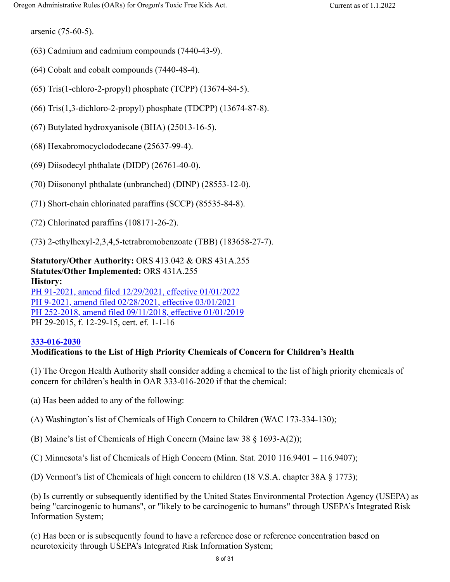arsenic (75-60-5).

- (63) Cadmium and cadmium compounds (7440-43-9).
- (64) Cobalt and cobalt compounds (7440-48-4).
- (65) Tris(1-chloro-2-propyl) phosphate (TCPP) (13674-84-5).
- (66) Tris(1,3-dichloro-2-propyl) phosphate (TDCPP) (13674-87-8).
- (67) Butylated hydroxyanisole (BHA) (25013-16-5).
- (68) Hexabromocyclododecane (25637-99-4).
- (69) Diisodecyl phthalate (DIDP) (26761-40-0).
- (70) Diisononyl phthalate (unbranched) (DINP) (28553-12-0).
- (71) Short-chain chlorinated paraffins (SCCP) (85535-84-8).
- (72) Chlorinated paraffins (108171-26-2).
- (73) 2-ethylhexyl-2,3,4,5-tetrabromobenzoate (TBB) (183658-27-7).

**Statutory/Other Authority:** ORS 413.042 & ORS 431A.255 **Statutes/Other Implemented:** ORS 431A.255 **History:**

PH 91-2021, amend filed 12/29/2021, effective 01/01/2022 PH 9-2021, amend filed 02/28/2021, effective 03/01/2021 PH 252-2018, amend filed 09/11/2018, effective 01/01/2019 PH 29-2015, f. 12-29-15, cert. ef. 1-1-16

#### **333-016-2030**

#### **Modifications to the List of High Priority Chemicals of Concern for Children's Health**

(1) The Oregon Health Authority shall consider adding a chemical to the list of high priority chemicals of concern for children's health in OAR 333-016-2020 if that the chemical:

(a) Has been added to any of the following:

(A) Washington's list of Chemicals of High Concern to Children (WAC 173-334-130);

(B) Maine's list of Chemicals of High Concern (Maine law 38 § 1693-A(2));

(C) Minnesota's list of Chemicals of High Concern (Minn. Stat. 2010 116.9401 – 116.9407);

(D) Vermont's list of Chemicals of high concern to children (18 V.S.A. chapter 38A § 1773);

(b) Is currently or subsequently identified by the United States Environmental Protection Agency (USEPA) as being "carcinogenic to humans", or "likely to be carcinogenic to humans" through USEPA's Integrated Risk Information System;

(c) Has been or is subsequently found to have a reference dose or reference concentration based on neurotoxicity through USEPA's Integrated Risk Information System;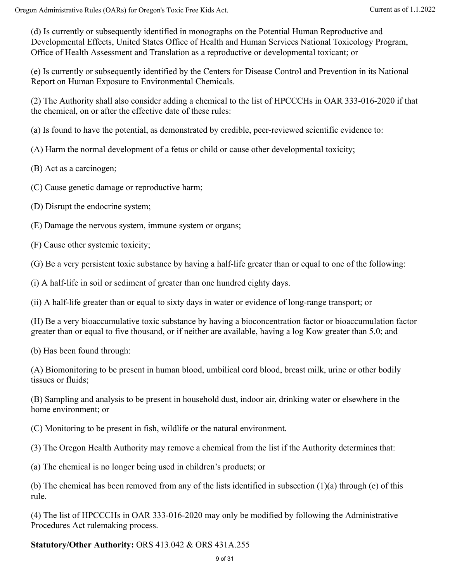(d) Is currently or subsequently identified in monographs on the Potential Human Reproductive and Developmental Effects, United States Office of Health and Human Services National Toxicology Program, Office of Health Assessment and Translation as a reproductive or developmental toxicant; or

(e) Is currently or subsequently identified by the Centers for Disease Control and Prevention in its National Report on Human Exposure to Environmental Chemicals.

(2) The Authority shall also consider adding a chemical to the list of HPCCCHs in OAR 333-016-2020 if that the chemical, on or after the effective date of these rules:

(a) Is found to have the potential, as demonstrated by credible, peer-reviewed scientific evidence to:

(A) Harm the normal development of a fetus or child or cause other developmental toxicity;

(B) Act as a carcinogen;

(C) Cause genetic damage or reproductive harm;

(D) Disrupt the endocrine system;

(E) Damage the nervous system, immune system or organs;

(F) Cause other systemic toxicity;

(G) Be a very persistent toxic substance by having a half-life greater than or equal to one of the following:

(i) A half-life in soil or sediment of greater than one hundred eighty days.

(ii) A half-life greater than or equal to sixty days in water or evidence of long-range transport; or

(H) Be a very bioaccumulative toxic substance by having a bioconcentration factor or bioaccumulation factor greater than or equal to five thousand, or if neither are available, having a log Kow greater than 5.0; and

(b) Has been found through:

(A) Biomonitoring to be present in human blood, umbilical cord blood, breast milk, urine or other bodily tissues or fluids;

(B) Sampling and analysis to be present in household dust, indoor air, drinking water or elsewhere in the home environment; or

(C) Monitoring to be present in fish, wildlife or the natural environment.

(3) The Oregon Health Authority may remove a chemical from the list if the Authority determines that:

(a) The chemical is no longer being used in children's products; or

(b) The chemical has been removed from any of the lists identified in subsection (1)(a) through (e) of this rule.

(4) The list of HPCCCHs in OAR 333-016-2020 may only be modified by following the Administrative Procedures Act rulemaking process.

**Statutory/Other Authority:** ORS 413.042 & ORS 431A.255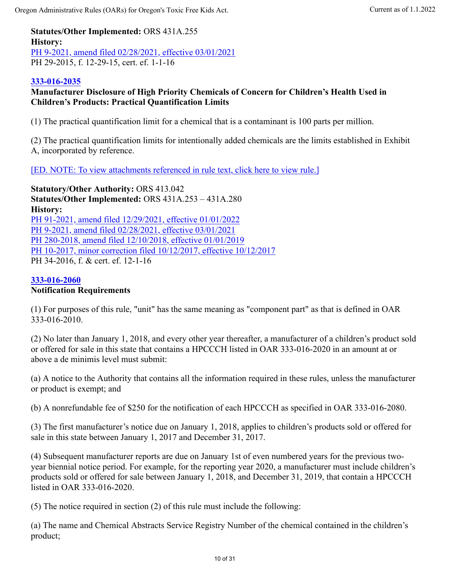**Statutes/Other Implemented:** ORS 431A.255 **History:** PH 9-2021, amend filed 02/28/2021, effective 03/01/2021 PH 29-2015, f. 12-29-15, cert. ef. 1-1-16

### **333-016-2035**

### **Manufacturer Disclosure of High Priority Chemicals of Concern for Children's Health Used in Children's Products: Practical Quantification Limits**

(1) The practical quantification limit for a chemical that is a contaminant is 100 parts per million.

(2) The practical quantification limits for intentionally added chemicals are the limits established in Exhibit A, incorporated by reference.

### [ED. NOTE: To view attachments referenced in rule text, click here to view rule.]

**Statutory/Other Authority:** ORS 413.042 **Statutes/Other Implemented:** ORS 431A.253 – 431A.280 **History:** PH 91-2021, amend filed 12/29/2021, effective 01/01/2022 PH 9-2021, amend filed 02/28/2021, effective 03/01/2021 PH 280-2018, amend filed 12/10/2018, effective 01/01/2019 PH 10-2017, minor correction filed 10/12/2017, effective 10/12/2017 PH 34-2016, f. & cert. ef. 12-1-16

#### **333-016-2060**

#### **Notification Requirements**

(1) For purposes of this rule, "unit" has the same meaning as "component part" as that is defined in OAR 333-016-2010.

(2) No later than January 1, 2018, and every other year thereafter, a manufacturer of a children's product sold or offered for sale in this state that contains a HPCCCH listed in OAR 333-016-2020 in an amount at or above a de minimis level must submit:

(a) A notice to the Authority that contains all the information required in these rules, unless the manufacturer or product is exempt; and

(b) A nonrefundable fee of \$250 for the notification of each HPCCCH as specified in OAR 333-016-2080.

(3) The first manufacturer's notice due on January 1, 2018, applies to children's products sold or offered for sale in this state between January 1, 2017 and December 31, 2017.

(4) Subsequent manufacturer reports are due on January 1st of even numbered years for the previous twoyear biennial notice period. For example, for the reporting year 2020, a manufacturer must include children's products sold or offered for sale between January 1, 2018, and December 31, 2019, that contain a HPCCCH listed in OAR 333-016-2020.

(5) The notice required in section (2) of this rule must include the following:

(a) The name and Chemical Abstracts Service Registry Number of the chemical contained in the children's product;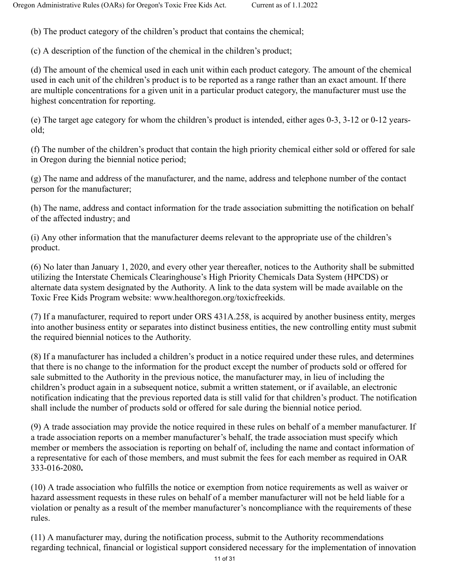(b) The product category of the children's product that contains the chemical;

(c) A description of the function of the chemical in the children's product;

(d) The amount of the chemical used in each unit within each product category. The amount of the chemical used in each unit of the children's product is to be reported as a range rather than an exact amount. If there are multiple concentrations for a given unit in a particular product category, the manufacturer must use the highest concentration for reporting.

(e) The target age category for whom the children's product is intended, either ages 0-3, 3-12 or 0-12 yearsold;

(f) The number of the children's product that contain the high priority chemical either sold or offered for sale in Oregon during the biennial notice period;

(g) The name and address of the manufacturer, and the name, address and telephone number of the contact person for the manufacturer;

(h) The name, address and contact information for the trade association submitting the notification on behalf of the affected industry; and

(i) Any other information that the manufacturer deems relevant to the appropriate use of the children's product.

(6) No later than January 1, 2020, and every other year thereafter, notices to the Authority shall be submitted utilizing the Interstate Chemicals Clearinghouse's High Priority Chemicals Data System (HPCDS) or alternate data system designated by the Authority. A link to the data system will be made available on the Toxic Free Kids Program website: www.healthoregon.org/toxicfreekids.

(7) If a manufacturer, required to report under ORS 431A.258, is acquired by another business entity, merges into another business entity or separates into distinct business entities, the new controlling entity must submit the required biennial notices to the Authority.

(8) If a manufacturer has included a children's product in a notice required under these rules, and determines that there is no change to the information for the product except the number of products sold or offered for sale submitted to the Authority in the previous notice, the manufacturer may, in lieu of including the children's product again in a subsequent notice, submit a written statement, or if available, an electronic notification indicating that the previous reported data is still valid for that children's product. The notification shall include the number of products sold or offered for sale during the biennial notice period.

(9) A trade association may provide the notice required in these rules on behalf of a member manufacturer. If a trade association reports on a member manufacturer's behalf, the trade association must specify which member or members the association is reporting on behalf of, including the name and contact information of a representative for each of those members, and must submit the fees for each member as required in OAR 333-016-2080**.**

(10) A trade association who fulfills the notice or exemption from notice requirements as well as waiver or hazard assessment requests in these rules on behalf of a member manufacturer will not be held liable for a violation or penalty as a result of the member manufacturer's noncompliance with the requirements of these rules.

(11) A manufacturer may, during the notification process, submit to the Authority recommendations regarding technical, financial or logistical support considered necessary for the implementation of innovation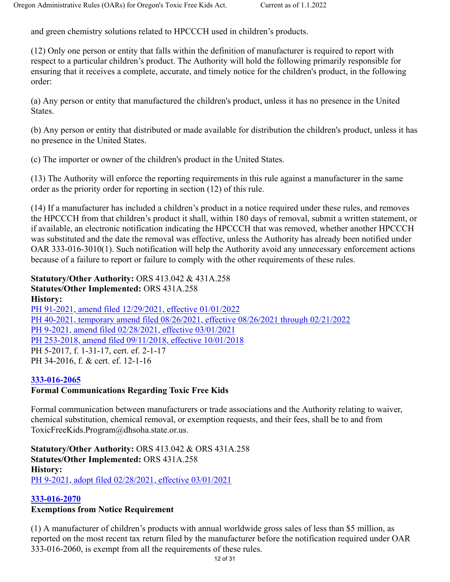and green chemistry solutions related to HPCCCH used in children's products.

(12) Only one person or entity that falls within the definition of manufacturer is required to report with respect to a particular children's product. The Authority will hold the following primarily responsible for ensuring that it receives a complete, accurate, and timely notice for the children's product, in the following order:

(a) Any person or entity that manufactured the children's product, unless it has no presence in the United States.

(b) Any person or entity that distributed or made available for distribution the children's product, unless it has no presence in the United States.

(c) The importer or owner of the children's product in the United States.

(13) The Authority will enforce the reporting requirements in this rule against a manufacturer in the same order as the priority order for reporting in section (12) of this rule.

(14) If a manufacturer has included a children's product in a notice required under these rules, and removes the HPCCCH from that children's product it shall, within 180 days of removal, submit a written statement, or if available, an electronic notification indicating the HPCCCH that was removed, whether another HPCCCH was substituted and the date the removal was effective, unless the Authority has already been notified under OAR 333-016-3010(1). Such notification will help the Authority avoid any unnecessary enforcement actions because of a failure to report or failure to comply with the other requirements of these rules.

**Statutory/Other Authority:** ORS 413.042 & 431A.258 **Statutes/Other Implemented:** ORS 431A.258 **History:**

PH 91-2021, amend filed 12/29/2021, effective 01/01/2022 PH 40-2021, temporary amend filed 08/26/2021, effective 08/26/2021 through 02/21/2022 PH 9-2021, amend filed 02/28/2021, effective 03/01/2021 PH 253-2018, amend filed 09/11/2018, effective 10/01/2018 PH 5-2017, f. 1-31-17, cert. ef. 2-1-17 PH 34-2016, f. & cert. ef. 12-1-16

## **333-016-2065**

## **Formal Communications Regarding Toxic Free Kids**

Formal communication between manufacturers or trade associations and the Authority relating to waiver, chemical substitution, chemical removal, or exemption requests, and their fees, shall be to and from ToxicFreeKids.Program@dhsoha.state.or.us.

**Statutory/Other Authority:** ORS 413.042 & ORS 431A.258 **Statutes/Other Implemented:** ORS 431A.258 **History:** PH 9-2021, adopt filed 02/28/2021, effective 03/01/2021

## **333-016-2070**

## **Exemptions from Notice Requirement**

(1) A manufacturer of children's products with annual worldwide gross sales of less than \$5 million, as reported on the most recent tax return filed by the manufacturer before the notification required under OAR 333-016-2060, is exempt from all the requirements of these rules.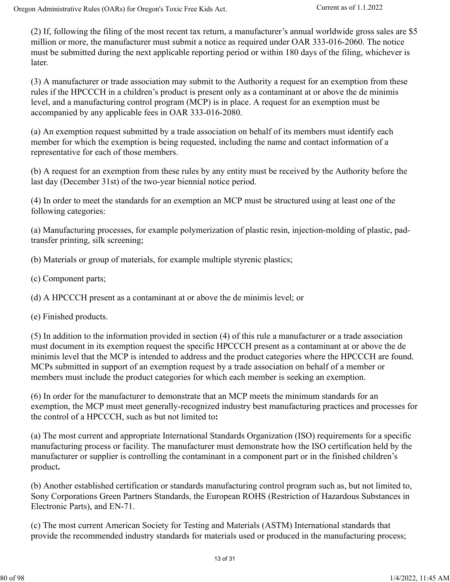(2) If, following the filing of the most recent tax return, a manufacturer's annual worldwide gross sales are \$5 million or more, the manufacturer must submit a notice as required under OAR 333-016-2060. The notice must be submitted during the next applicable reporting period or within 180 days of the filing, whichever is later.

(3) A manufacturer or trade association may submit to the Authority a request for an exemption from these rules if the HPCCCH in a children's product is present only as a contaminant at or above the de minimis level, and a manufacturing control program (MCP) is in place. A request for an exemption must be accompanied by any applicable fees in OAR 333-016-2080.

(a) An exemption request submitted by a trade association on behalf of its members must identify each member for which the exemption is being requested, including the name and contact information of a representative for each of those members.

(b) A request for an exemption from these rules by any entity must be received by the Authority before the last day (December 31st) of the two-year biennial notice period.

(4) In order to meet the standards for an exemption an MCP must be structured using at least one of the following categories:

(a) Manufacturing processes, for example polymerization of plastic resin, injection-molding of plastic, padtransfer printing, silk screening;

(b) Materials or group of materials, for example multiple styrenic plastics;

(c) Component parts;

(d) A HPCCCH present as a contaminant at or above the de minimis level; or

(e) Finished products.

(5) In addition to the information provided in section (4) of this rule a manufacturer or a trade association must document in its exemption request the specific HPCCCH present as a contaminant at or above the de minimis level that the MCP is intended to address and the product categories where the HPCCCH are found. MCPs submitted in support of an exemption request by a trade association on behalf of a member or members must include the product categories for which each member is seeking an exemption.

(6) In order for the manufacturer to demonstrate that an MCP meets the minimum standards for an exemption, the MCP must meet generally-recognized industry best manufacturing practices and processes for the control of a HPCCCH, such as but not limited to**:**

(a) The most current and appropriate International Standards Organization (ISO) requirements for a specific manufacturing process or facility. The manufacturer must demonstrate how the ISO certification held by the manufacturer or supplier is controlling the contaminant in a component part or in the finished children's product**.**

(b) Another established certification or standards manufacturing control program such as, but not limited to, Sony Corporations Green Partners Standards, the European ROHS (Restriction of Hazardous Substances in Electronic Parts), and EN-71.

(c) The most current American Society for Testing and Materials (ASTM) International standards that provide the recommended industry standards for materials used or produced in the manufacturing process;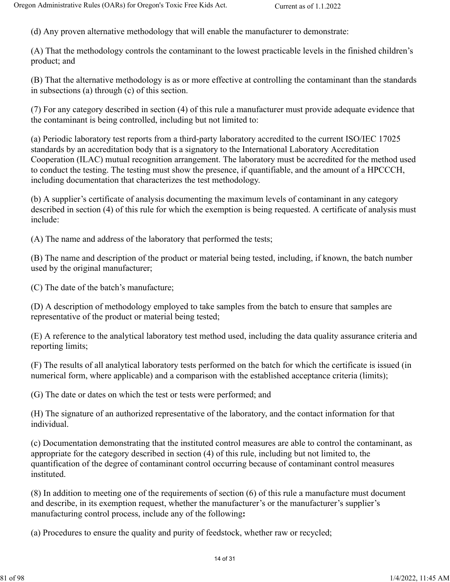(d) Any proven alternative methodology that will enable the manufacturer to demonstrate:

(A) That the methodology controls the contaminant to the lowest practicable levels in the finished children's product; and

(B) That the alternative methodology is as or more effective at controlling the contaminant than the standards in subsections (a) through (c) of this section.

(7) For any category described in section (4) of this rule a manufacturer must provide adequate evidence that the contaminant is being controlled, including but not limited to:

(a) Periodic laboratory test reports from a third-party laboratory accredited to the current ISO/IEC 17025 standards by an accreditation body that is a signatory to the International Laboratory Accreditation Cooperation (ILAC) mutual recognition arrangement. The laboratory must be accredited for the method used to conduct the testing. The testing must show the presence, if quantifiable, and the amount of a HPCCCH, including documentation that characterizes the test methodology.

(b) A supplier's certificate of analysis documenting the maximum levels of contaminant in any category described in section (4) of this rule for which the exemption is being requested. A certificate of analysis must include:

(A) The name and address of the laboratory that performed the tests;

(B) The name and description of the product or material being tested, including, if known, the batch number used by the original manufacturer;

(C) The date of the batch's manufacture;

(D) A description of methodology employed to take samples from the batch to ensure that samples are representative of the product or material being tested;

(E) A reference to the analytical laboratory test method used, including the data quality assurance criteria and reporting limits;

(F) The results of all analytical laboratory tests performed on the batch for which the certificate is issued (in numerical form, where applicable) and a comparison with the established acceptance criteria (limits);

(G) The date or dates on which the test or tests were performed; and

(H) The signature of an authorized representative of the laboratory, and the contact information for that individual.

(c) Documentation demonstrating that the instituted control measures are able to control the contaminant, as appropriate for the category described in section (4) of this rule, including but not limited to, the quantification of the degree of contaminant control occurring because of contaminant control measures instituted.

(8) In addition to meeting one of the requirements of section (6) of this rule a manufacture must document and describe, in its exemption request, whether the manufacturer's or the manufacturer's supplier's manufacturing control process, include any of the following**:**

(a) Procedures to ensure the quality and purity of feedstock, whether raw or recycled;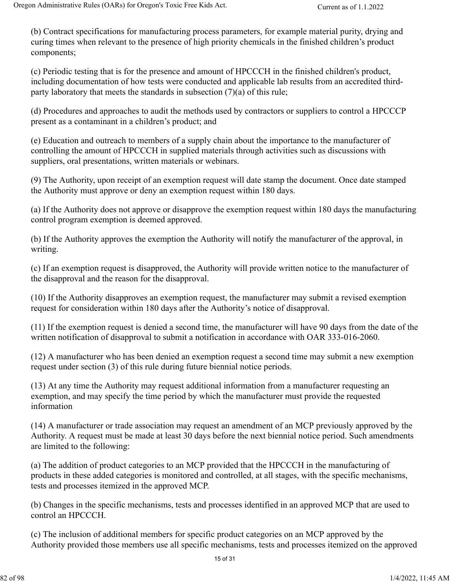(b) Contract specifications for manufacturing process parameters, for example material purity, drying and curing times when relevant to the presence of high priority chemicals in the finished children's product components;

(c) Periodic testing that is for the presence and amount of HPCCCH in the finished children's product, including documentation of how tests were conducted and applicable lab results from an accredited thirdparty laboratory that meets the standards in subsection (7)(a) of this rule;

(d) Procedures and approaches to audit the methods used by contractors or suppliers to control a HPCCCP present as a contaminant in a children's product; and

(e) Education and outreach to members of a supply chain about the importance to the manufacturer of controlling the amount of HPCCCH in supplied materials through activities such as discussions with suppliers, oral presentations, written materials or webinars.

(9) The Authority, upon receipt of an exemption request will date stamp the document. Once date stamped the Authority must approve or deny an exemption request within 180 days.

(a) If the Authority does not approve or disapprove the exemption request within 180 days the manufacturing control program exemption is deemed approved.

(b) If the Authority approves the exemption the Authority will notify the manufacturer of the approval, in writing.

(c) If an exemption request is disapproved, the Authority will provide written notice to the manufacturer of the disapproval and the reason for the disapproval.

(10) If the Authority disapproves an exemption request, the manufacturer may submit a revised exemption request for consideration within 180 days after the Authority's notice of disapproval.

(11) If the exemption request is denied a second time, the manufacturer will have 90 days from the date of the written notification of disapproval to submit a notification in accordance with OAR 333-016-2060.

(12) A manufacturer who has been denied an exemption request a second time may submit a new exemption request under section (3) of this rule during future biennial notice periods.

(13) At any time the Authority may request additional information from a manufacturer requesting an exemption, and may specify the time period by which the manufacturer must provide the requested information

(14) A manufacturer or trade association may request an amendment of an MCP previously approved by the Authority. A request must be made at least 30 days before the next biennial notice period. Such amendments are limited to the following:

(a) The addition of product categories to an MCP provided that the HPCCCH in the manufacturing of products in these added categories is monitored and controlled, at all stages, with the specific mechanisms, tests and processes itemized in the approved MCP.

(b) Changes in the specific mechanisms, tests and processes identified in an approved MCP that are used to control an HPCCCH.

(c) The inclusion of additional members for specific product categories on an MCP approved by the Authority provided those members use all specific mechanisms, tests and processes itemized on the approved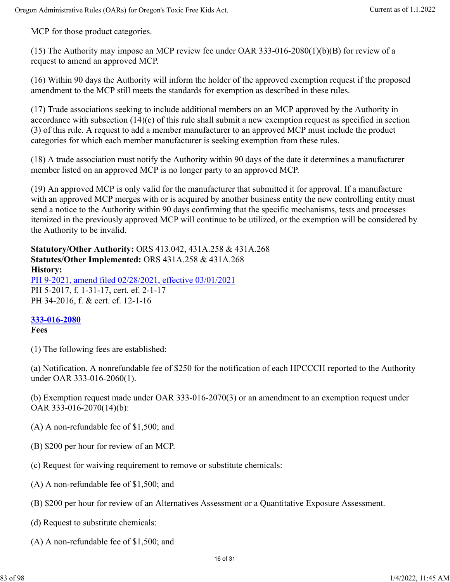MCP for those product categories.

(15) The Authority may impose an MCP review fee under OAR 333-016-2080(1)(b)(B) for review of a request to amend an approved MCP.

(16) Within 90 days the Authority will inform the holder of the approved exemption request if the proposed amendment to the MCP still meets the standards for exemption as described in these rules.

(17) Trade associations seeking to include additional members on an MCP approved by the Authority in accordance with subsection  $(14)(c)$  of this rule shall submit a new exemption request as specified in section (3) of this rule. A request to add a member manufacturer to an approved MCP must include the product categories for which each member manufacturer is seeking exemption from these rules.

(18) A trade association must notify the Authority within 90 days of the date it determines a manufacturer member listed on an approved MCP is no longer party to an approved MCP.

(19) An approved MCP is only valid for the manufacturer that submitted it for approval. If a manufacture with an approved MCP merges with or is acquired by another business entity the new controlling entity must send a notice to the Authority within 90 days confirming that the specific mechanisms, tests and processes itemized in the previously approved MCP will continue to be utilized, or the exemption will be considered by the Authority to be invalid.

**Statutory/Other Authority:** ORS 413.042, 431A.258 & 431A.268 **Statutes/Other Implemented:** ORS 431A.258 & 431A.268 **History:** PH 9-2021, amend filed 02/28/2021, effective 03/01/2021 PH 5-2017, f. 1-31-17, cert. ef. 2-1-17 PH 34-2016, f. & cert. ef. 12-1-16

## **333-016-2080**

#### **Fees**

(1) The following fees are established:

(a) Notification. A nonrefundable fee of \$250 for the notification of each HPCCCH reported to the Authority under OAR 333-016-2060(1).

(b) Exemption request made under OAR 333-016-2070(3) or an amendment to an exemption request under OAR 333-016-2070(14)(b):

- (A) A non-refundable fee of \$1,500; and
- (B) \$200 per hour for review of an MCP.
- (c) Request for waiving requirement to remove or substitute chemicals:
- (A) A non-refundable fee of \$1,500; and
- (B) \$200 per hour for review of an Alternatives Assessment or a Quantitative Exposure Assessment.
- (d) Request to substitute chemicals:
- (A) A non-refundable fee of \$1,500; and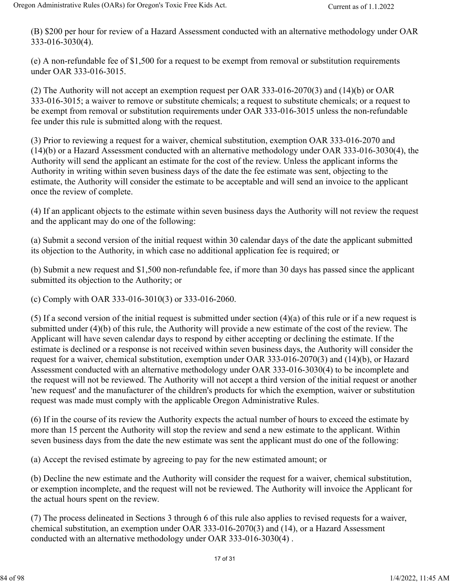(B) \$200 per hour for review of a Hazard Assessment conducted with an alternative methodology under OAR 333-016-3030(4).

(e) A non-refundable fee of \$1,500 for a request to be exempt from removal or substitution requirements under OAR 333-016-3015.

(2) The Authority will not accept an exemption request per OAR 333-016-2070(3) and (14)(b) or OAR 333-016-3015; a waiver to remove or substitute chemicals; a request to substitute chemicals; or a request to be exempt from removal or substitution requirements under OAR 333-016-3015 unless the non-refundable fee under this rule is submitted along with the request.

(3) Prior to reviewing a request for a waiver, chemical substitution, exemption OAR 333-016-2070 and (14)(b) or a Hazard Assessment conducted with an alternative methodology under OAR 333-016-3030(4), the Authority will send the applicant an estimate for the cost of the review. Unless the applicant informs the Authority in writing within seven business days of the date the fee estimate was sent, objecting to the estimate, the Authority will consider the estimate to be acceptable and will send an invoice to the applicant once the review of complete.

(4) If an applicant objects to the estimate within seven business days the Authority will not review the request and the applicant may do one of the following:

(a) Submit a second version of the initial request within 30 calendar days of the date the applicant submitted its objection to the Authority, in which case no additional application fee is required; or

(b) Submit a new request and \$1,500 non-refundable fee, if more than 30 days has passed since the applicant submitted its objection to the Authority; or

(c) Comply with OAR 333-016-3010(3) or 333-016-2060.

(5) If a second version of the initial request is submitted under section (4)(a) of this rule or if a new request is submitted under (4)(b) of this rule, the Authority will provide a new estimate of the cost of the review. The Applicant will have seven calendar days to respond by either accepting or declining the estimate. If the estimate is declined or a response is not received within seven business days, the Authority will consider the request for a waiver, chemical substitution, exemption under OAR 333-016-2070(3) and (14)(b), or Hazard Assessment conducted with an alternative methodology under OAR 333-016-3030(4) to be incomplete and the request will not be reviewed. The Authority will not accept a third version of the initial request or another 'new request' and the manufacturer of the children's products for which the exemption, waiver or substitution request was made must comply with the applicable Oregon Administrative Rules.

(6) If in the course of its review the Authority expects the actual number of hours to exceed the estimate by more than 15 percent the Authority will stop the review and send a new estimate to the applicant. Within seven business days from the date the new estimate was sent the applicant must do one of the following:

(a) Accept the revised estimate by agreeing to pay for the new estimated amount; or

(b) Decline the new estimate and the Authority will consider the request for a waiver, chemical substitution, or exemption incomplete, and the request will not be reviewed. The Authority will invoice the Applicant for the actual hours spent on the review.

(7) The process delineated in Sections 3 through 6 of this rule also applies to revised requests for a waiver, chemical substitution, an exemption under OAR 333-016-2070(3) and (14), or a Hazard Assessment conducted with an alternative methodology under OAR 333-016-3030(4) .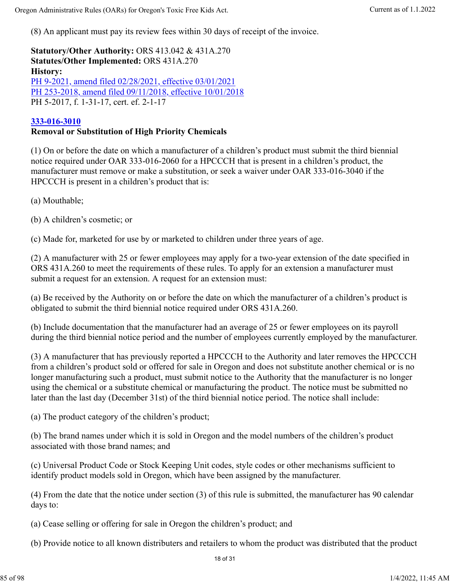(8) An applicant must pay its review fees within 30 days of receipt of the invoice.

**Statutory/Other Authority:** ORS 413.042 & 431A.270 **Statutes/Other Implemented:** ORS 431A.270 **History:** PH 9-2021, amend filed 02/28/2021, effective 03/01/2021 PH 253-2018, amend filed 09/11/2018, effective 10/01/2018 PH 5-2017, f. 1-31-17, cert. ef. 2-1-17

#### **333-016-3010**

#### **Removal or Substitution of High Priority Chemicals**

(1) On or before the date on which a manufacturer of a children's product must submit the third biennial notice required under OAR 333-016-2060 for a HPCCCH that is present in a children's product, the manufacturer must remove or make a substitution, or seek a waiver under OAR 333-016-3040 if the HPCCCH is present in a children's product that is:

(a) Mouthable;

(b) A children's cosmetic; or

(c) Made for, marketed for use by or marketed to children under three years of age.

(2) A manufacturer with 25 or fewer employees may apply for a two-year extension of the date specified in ORS 431A.260 to meet the requirements of these rules. To apply for an extension a manufacturer must submit a request for an extension. A request for an extension must:

(a) Be received by the Authority on or before the date on which the manufacturer of a children's product is obligated to submit the third biennial notice required under ORS 431A.260.

(b) Include documentation that the manufacturer had an average of 25 or fewer employees on its payroll during the third biennial notice period and the number of employees currently employed by the manufacturer.

(3) A manufacturer that has previously reported a HPCCCH to the Authority and later removes the HPCCCH from a children's product sold or offered for sale in Oregon and does not substitute another chemical or is no longer manufacturing such a product, must submit notice to the Authority that the manufacturer is no longer using the chemical or a substitute chemical or manufacturing the product. The notice must be submitted no later than the last day (December 31st) of the third biennial notice period. The notice shall include:

(a) The product category of the children's product;

(b) The brand names under which it is sold in Oregon and the model numbers of the children's product associated with those brand names; and

(c) Universal Product Code or Stock Keeping Unit codes, style codes or other mechanisms sufficient to identify product models sold in Oregon, which have been assigned by the manufacturer.

(4) From the date that the notice under section (3) of this rule is submitted, the manufacturer has 90 calendar days to:

(a) Cease selling or offering for sale in Oregon the children's product; and

(b) Provide notice to all known distributers and retailers to whom the product was distributed that the product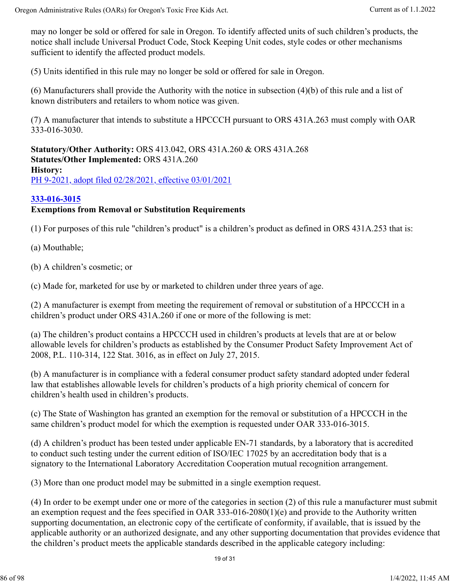may no longer be sold or offered for sale in Oregon. To identify affected units of such children's products, the notice shall include Universal Product Code, Stock Keeping Unit codes, style codes or other mechanisms sufficient to identify the affected product models.

(5) Units identified in this rule may no longer be sold or offered for sale in Oregon.

(6) Manufacturers shall provide the Authority with the notice in subsection (4)(b) of this rule and a list of known distributers and retailers to whom notice was given.

(7) A manufacturer that intends to substitute a HPCCCH pursuant to ORS 431A.263 must comply with OAR 333-016-3030.

**Statutory/Other Authority:** ORS 413.042, ORS 431A.260 & ORS 431A.268 **Statutes/Other Implemented:** ORS 431A.260 **History:** PH 9-2021, adopt filed 02/28/2021, effective 03/01/2021

### **333-016-3015**

### **Exemptions from Removal or Substitution Requirements**

(1) For purposes of this rule "children's product" is a children's product as defined in ORS 431A.253 that is:

(a) Mouthable;

(b) A children's cosmetic; or

(c) Made for, marketed for use by or marketed to children under three years of age.

(2) A manufacturer is exempt from meeting the requirement of removal or substitution of a HPCCCH in a children's product under ORS 431A.260 if one or more of the following is met:

(a) The children's product contains a HPCCCH used in children's products at levels that are at or below allowable levels for children's products as established by the Consumer Product Safety Improvement Act of 2008, P.L. 110-314, 122 Stat. 3016, as in effect on July 27, 2015.

(b) A manufacturer is in compliance with a federal consumer product safety standard adopted under federal law that establishes allowable levels for children's products of a high priority chemical of concern for children's health used in children's products.

(c) The State of Washington has granted an exemption for the removal or substitution of a HPCCCH in the same children's product model for which the exemption is requested under OAR 333-016-3015.

(d) A children's product has been tested under applicable EN-71 standards, by a laboratory that is accredited to conduct such testing under the current edition of ISO/IEC 17025 by an accreditation body that is a signatory to the International Laboratory Accreditation Cooperation mutual recognition arrangement.

(3) More than one product model may be submitted in a single exemption request.

(4) In order to be exempt under one or more of the categories in section (2) of this rule a manufacturer must submit an exemption request and the fees specified in OAR 333-016-2080(1)(e) and provide to the Authority written supporting documentation, an electronic copy of the certificate of conformity, if available, that is issued by the applicable authority or an authorized designate, and any other supporting documentation that provides evidence that the children's product meets the applicable standards described in the applicable category including: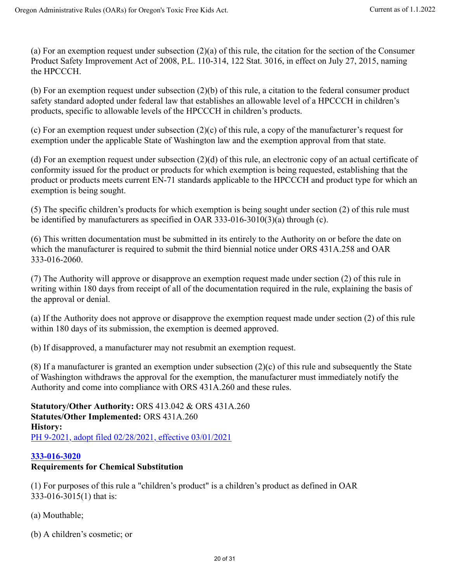(a) For an exemption request under subsection (2)(a) of this rule, the citation for the section of the Consumer Product Safety Improvement Act of 2008, P.L. 110-314, 122 Stat. 3016, in effect on July 27, 2015, naming the HPCCCH.

(b) For an exemption request under subsection (2)(b) of this rule, a citation to the federal consumer product safety standard adopted under federal law that establishes an allowable level of a HPCCCH in children's products, specific to allowable levels of the HPCCCH in children's products.

(c) For an exemption request under subsection (2)(c) of this rule, a copy of the manufacturer's request for exemption under the applicable State of Washington law and the exemption approval from that state.

(d) For an exemption request under subsection (2)(d) of this rule, an electronic copy of an actual certificate of conformity issued for the product or products for which exemption is being requested, establishing that the product or products meets current EN-71 standards applicable to the HPCCCH and product type for which an exemption is being sought.

(5) The specific children's products for which exemption is being sought under section (2) of this rule must be identified by manufacturers as specified in OAR 333-016-3010(3)(a) through (c).

(6) This written documentation must be submitted in its entirely to the Authority on or before the date on which the manufacturer is required to submit the third biennial notice under ORS 431A.258 and OAR 333-016-2060.

(7) The Authority will approve or disapprove an exemption request made under section (2) of this rule in writing within 180 days from receipt of all of the documentation required in the rule, explaining the basis of the approval or denial.

(a) If the Authority does not approve or disapprove the exemption request made under section (2) of this rule within 180 days of its submission, the exemption is deemed approved.

(b) If disapproved, a manufacturer may not resubmit an exemption request.

(8) If a manufacturer is granted an exemption under subsection (2)(c) of this rule and subsequently the State of Washington withdraws the approval for the exemption, the manufacturer must immediately notify the Authority and come into compliance with ORS 431A.260 and these rules.

**Statutory/Other Authority:** ORS 413.042 & ORS 431A.260 **Statutes/Other Implemented:** ORS 431A.260 **History:** PH 9-2021, adopt filed 02/28/2021, effective 03/01/2021

### **333-016-3020**

### **Requirements for Chemical Substitution**

(1) For purposes of this rule a "children's product" is a children's product as defined in OAR 333-016-3015(1) that is:

- (a) Mouthable;
- (b) A children's cosmetic; or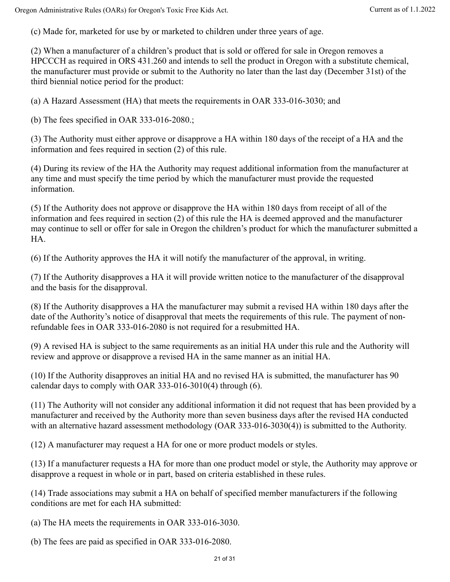(c) Made for, marketed for use by or marketed to children under three years of age.

(2) When a manufacturer of a children's product that is sold or offered for sale in Oregon removes a HPCCCH as required in ORS 431.260 and intends to sell the product in Oregon with a substitute chemical, the manufacturer must provide or submit to the Authority no later than the last day (December 31st) of the third biennial notice period for the product:

(a) A Hazard Assessment (HA) that meets the requirements in OAR 333-016-3030; and

(b) The fees specified in OAR 333-016-2080.;

(3) The Authority must either approve or disapprove a HA within 180 days of the receipt of a HA and the information and fees required in section (2) of this rule.

(4) During its review of the HA the Authority may request additional information from the manufacturer at any time and must specify the time period by which the manufacturer must provide the requested information.

(5) If the Authority does not approve or disapprove the HA within 180 days from receipt of all of the information and fees required in section (2) of this rule the HA is deemed approved and the manufacturer may continue to sell or offer for sale in Oregon the children's product for which the manufacturer submitted a HA.

(6) If the Authority approves the HA it will notify the manufacturer of the approval, in writing.

(7) If the Authority disapproves a HA it will provide written notice to the manufacturer of the disapproval and the basis for the disapproval.

(8) If the Authority disapproves a HA the manufacturer may submit a revised HA within 180 days after the date of the Authority's notice of disapproval that meets the requirements of this rule. The payment of nonrefundable fees in OAR 333-016-2080 is not required for a resubmitted HA.

(9) A revised HA is subject to the same requirements as an initial HA under this rule and the Authority will review and approve or disapprove a revised HA in the same manner as an initial HA.

(10) If the Authority disapproves an initial HA and no revised HA is submitted, the manufacturer has 90 calendar days to comply with OAR 333-016-3010(4) through (6).

(11) The Authority will not consider any additional information it did not request that has been provided by a manufacturer and received by the Authority more than seven business days after the revised HA conducted with an alternative hazard assessment methodology (OAR 333-016-3030(4)) is submitted to the Authority.

(12) A manufacturer may request a HA for one or more product models or styles.

(13) If a manufacturer requests a HA for more than one product model or style, the Authority may approve or disapprove a request in whole or in part, based on criteria established in these rules.

(14) Trade associations may submit a HA on behalf of specified member manufacturers if the following conditions are met for each HA submitted:

(a) The HA meets the requirements in OAR 333-016-3030.

(b) The fees are paid as specified in OAR 333-016-2080.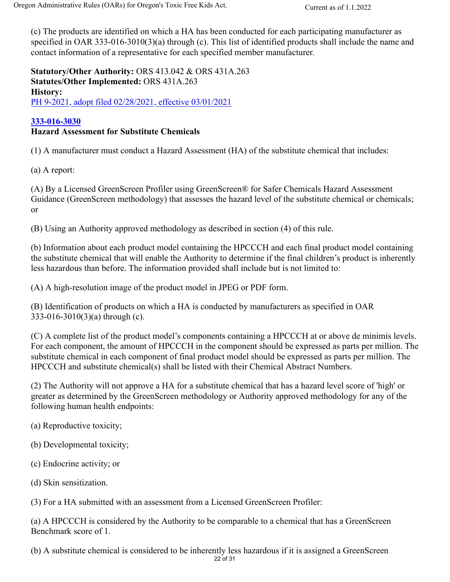(c) The products are identified on which a HA has been conducted for each participating manufacturer as specified in OAR 333-016-3010(3)(a) through (c). This list of identified products shall include the name and contact information of a representative for each specified member manufacturer.

**Statutory/Other Authority:** ORS 413.042 & ORS 431A.263 **Statutes/Other Implemented:** ORS 431A.263 **History:** PH 9-2021, adopt filed 02/28/2021, effective 03/01/2021

### **333-016-3030**

### **Hazard Assessment for Substitute Chemicals**

(1) A manufacturer must conduct a Hazard Assessment (HA) of the substitute chemical that includes:

(a) A report:

(A) By a Licensed GreenScreen Profiler using GreenScreen® for Safer Chemicals Hazard Assessment Guidance (GreenScreen methodology) that assesses the hazard level of the substitute chemical or chemicals; or

(B) Using an Authority approved methodology as described in section (4) of this rule.

(b) Information about each product model containing the HPCCCH and each final product model containing the substitute chemical that will enable the Authority to determine if the final children's product is inherently less hazardous than before. The information provided shall include but is not limited to:

(A) A high-resolution image of the product model in JPEG or PDF form.

(B) Identification of products on which a HA is conducted by manufacturers as specified in OAR 333-016-3010(3)(a) through (c).

(C) A complete list of the product model's components containing a HPCCCH at or above de minimis levels. For each component, the amount of HPCCCH in the component should be expressed as parts per million. The substitute chemical in each component of final product model should be expressed as parts per million. The HPCCCH and substitute chemical(s) shall be listed with their Chemical Abstract Numbers.

(2) The Authority will not approve a HA for a substitute chemical that has a hazard level score of 'high' or greater as determined by the GreenScreen methodology or Authority approved methodology for any of the following human health endpoints:

- (a) Reproductive toxicity;
- (b) Developmental toxicity;
- (c) Endocrine activity; or
- (d) Skin sensitization.

(3) For a HA submitted with an assessment from a Licensed GreenScreen Profiler:

(a) A HPCCCH is considered by the Authority to be comparable to a chemical that has a GreenScreen Benchmark score of 1.

(b) A substitute chemical is considered to be inherently less hazardous if it is assigned a GreenScreen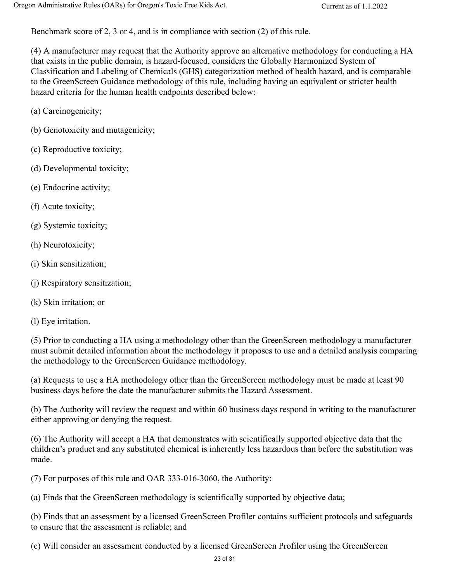Benchmark score of 2, 3 or 4, and is in compliance with section (2) of this rule.

(4) A manufacturer may request that the Authority approve an alternative methodology for conducting a HA that exists in the public domain, is hazard-focused, considers the Globally Harmonized System of Classification and Labeling of Chemicals (GHS) categorization method of health hazard, and is comparable to the GreenScreen Guidance methodology of this rule, including having an equivalent or stricter health hazard criteria for the human health endpoints described below:

- (a) Carcinogenicity;
- (b) Genotoxicity and mutagenicity;
- (c) Reproductive toxicity;
- (d) Developmental toxicity;
- (e) Endocrine activity;
- (f) Acute toxicity;
- (g) Systemic toxicity;
- (h) Neurotoxicity;
- (i) Skin sensitization;
- (j) Respiratory sensitization;
- (k) Skin irritation; or
- (l) Eye irritation.

(5) Prior to conducting a HA using a methodology other than the GreenScreen methodology a manufacturer must submit detailed information about the methodology it proposes to use and a detailed analysis comparing the methodology to the GreenScreen Guidance methodology.

(a) Requests to use a HA methodology other than the GreenScreen methodology must be made at least 90 business days before the date the manufacturer submits the Hazard Assessment.

(b) The Authority will review the request and within 60 business days respond in writing to the manufacturer either approving or denying the request.

(6) The Authority will accept a HA that demonstrates with scientifically supported objective data that the children's product and any substituted chemical is inherently less hazardous than before the substitution was made.

(7) For purposes of this rule and OAR 333-016-3060, the Authority:

(a) Finds that the GreenScreen methodology is scientifically supported by objective data;

(b) Finds that an assessment by a licensed GreenScreen Profiler contains sufficient protocols and safeguards to ensure that the assessment is reliable; and

(c) Will consider an assessment conducted by a licensed GreenScreen Profiler using the GreenScreen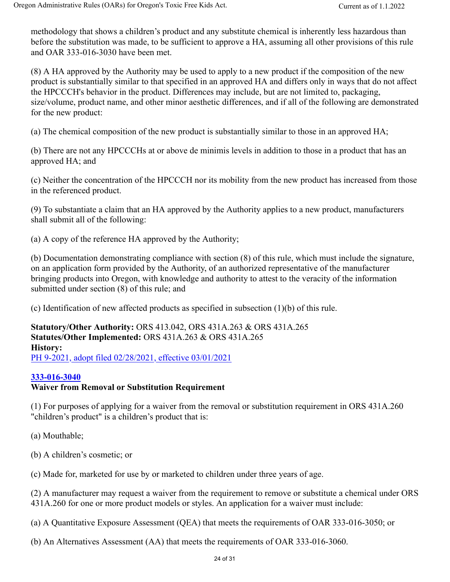methodology that shows a children's product and any substitute chemical is inherently less hazardous than before the substitution was made, to be sufficient to approve a HA, assuming all other provisions of this rule and OAR 333-016-3030 have been met.

(8) A HA approved by the Authority may be used to apply to a new product if the composition of the new product is substantially similar to that specified in an approved HA and differs only in ways that do not affect the HPCCCH's behavior in the product. Differences may include, but are not limited to, packaging, size/volume, product name, and other minor aesthetic differences, and if all of the following are demonstrated for the new product:

(a) The chemical composition of the new product is substantially similar to those in an approved HA;

(b) There are not any HPCCCHs at or above de minimis levels in addition to those in a product that has an approved HA; and

(c) Neither the concentration of the HPCCCH nor its mobility from the new product has increased from those in the referenced product.

(9) To substantiate a claim that an HA approved by the Authority applies to a new product, manufacturers shall submit all of the following:

(a) A copy of the reference HA approved by the Authority;

(b) Documentation demonstrating compliance with section (8) of this rule, which must include the signature, on an application form provided by the Authority, of an authorized representative of the manufacturer bringing products into Oregon, with knowledge and authority to attest to the veracity of the information submitted under section (8) of this rule; and

(c) Identification of new affected products as specified in subsection (1)(b) of this rule.

**Statutory/Other Authority:** ORS 413.042, ORS 431A.263 & ORS 431A.265 **Statutes/Other Implemented:** ORS 431A.263 & ORS 431A.265 **History:** PH 9-2021, adopt filed 02/28/2021, effective 03/01/2021

### **333-016-3040**

### **Waiver from Removal or Substitution Requirement**

(1) For purposes of applying for a waiver from the removal or substitution requirement in ORS 431A.260 "children's product" is a children's product that is:

(a) Mouthable;

(b) A children's cosmetic; or

(c) Made for, marketed for use by or marketed to children under three years of age.

(2) A manufacturer may request a waiver from the requirement to remove or substitute a chemical under ORS 431A.260 for one or more product models or styles. An application for a waiver must include:

(a) A Quantitative Exposure Assessment (QEA) that meets the requirements of OAR 333-016-3050; or

(b) An Alternatives Assessment (AA) that meets the requirements of OAR 333-016-3060.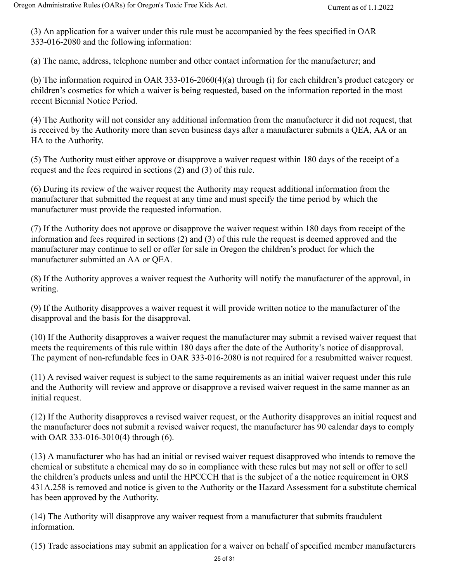(3) An application for a waiver under this rule must be accompanied by the fees specified in OAR 333-016-2080 and the following information:

(a) The name, address, telephone number and other contact information for the manufacturer; and

(b) The information required in OAR 333-016-2060(4)(a) through (i) for each children's product category or children's cosmetics for which a waiver is being requested, based on the information reported in the most recent Biennial Notice Period.

(4) The Authority will not consider any additional information from the manufacturer it did not request, that is received by the Authority more than seven business days after a manufacturer submits a QEA, AA or an HA to the Authority.

(5) The Authority must either approve or disapprove a waiver request within 180 days of the receipt of a request and the fees required in sections (2) and (3) of this rule.

(6) During its review of the waiver request the Authority may request additional information from the manufacturer that submitted the request at any time and must specify the time period by which the manufacturer must provide the requested information.

(7) If the Authority does not approve or disapprove the waiver request within 180 days from receipt of the information and fees required in sections (2) and (3) of this rule the request is deemed approved and the manufacturer may continue to sell or offer for sale in Oregon the children's product for which the manufacturer submitted an AA or QEA.

(8) If the Authority approves a waiver request the Authority will notify the manufacturer of the approval, in writing.

(9) If the Authority disapproves a waiver request it will provide written notice to the manufacturer of the disapproval and the basis for the disapproval.

(10) If the Authority disapproves a waiver request the manufacturer may submit a revised waiver request that meets the requirements of this rule within 180 days after the date of the Authority's notice of disapproval. The payment of non-refundable fees in OAR 333-016-2080 is not required for a resubmitted waiver request.

(11) A revised waiver request is subject to the same requirements as an initial waiver request under this rule and the Authority will review and approve or disapprove a revised waiver request in the same manner as an initial request.

(12) If the Authority disapproves a revised waiver request, or the Authority disapproves an initial request and the manufacturer does not submit a revised waiver request, the manufacturer has 90 calendar days to comply with OAR 333-016-3010(4) through (6).

(13) A manufacturer who has had an initial or revised waiver request disapproved who intends to remove the chemical or substitute a chemical may do so in compliance with these rules but may not sell or offer to sell the children's products unless and until the HPCCCH that is the subject of a the notice requirement in ORS 431A.258 is removed and notice is given to the Authority or the Hazard Assessment for a substitute chemical has been approved by the Authority.

(14) The Authority will disapprove any waiver request from a manufacturer that submits fraudulent information.

(15) Trade associations may submit an application for a waiver on behalf of specified member manufacturers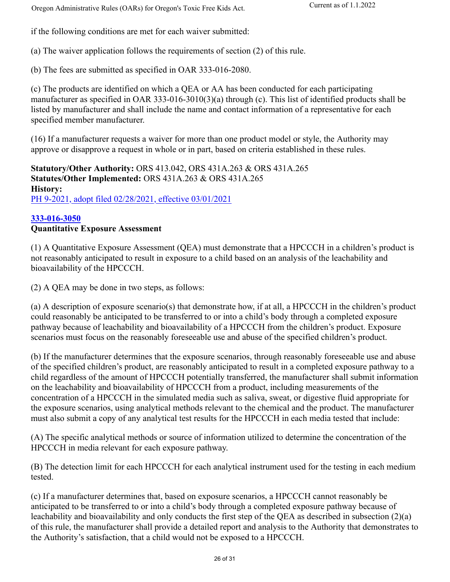Oregon Administrative Rules (OARs) for Oregon's Toxic Free Kids Act. Current as of 1.1.2022

if the following conditions are met for each waiver submitted:

(a) The waiver application follows the requirements of section (2) of this rule.

(b) The fees are submitted as specified in OAR 333-016-2080.

(c) The products are identified on which a QEA or AA has been conducted for each participating manufacturer as specified in OAR 333-016-3010(3)(a) through (c). This list of identified products shall be listed by manufacturer and shall include the name and contact information of a representative for each specified member manufacturer.

(16) If a manufacturer requests a waiver for more than one product model or style, the Authority may approve or disapprove a request in whole or in part, based on criteria established in these rules.

**Statutory/Other Authority:** ORS 413.042, ORS 431A.263 & ORS 431A.265 **Statutes/Other Implemented:** ORS 431A.263 & ORS 431A.265 **History:** PH 9-2021, adopt filed 02/28/2021, effective 03/01/2021

### **333-016-3050**

### **Quantitative Exposure Assessment**

(1) A Quantitative Exposure Assessment (QEA) must demonstrate that a HPCCCH in a children's product is not reasonably anticipated to result in exposure to a child based on an analysis of the leachability and bioavailability of the HPCCCH.

(2) A QEA may be done in two steps, as follows:

(a) A description of exposure scenario(s) that demonstrate how, if at all, a HPCCCH in the children's product could reasonably be anticipated to be transferred to or into a child's body through a completed exposure pathway because of leachability and bioavailability of a HPCCCH from the children's product. Exposure scenarios must focus on the reasonably foreseeable use and abuse of the specified children's product.

(b) If the manufacturer determines that the exposure scenarios, through reasonably foreseeable use and abuse of the specified children's product, are reasonably anticipated to result in a completed exposure pathway to a child regardless of the amount of HPCCCH potentially transferred, the manufacturer shall submit information on the leachability and bioavailability of HPCCCH from a product, including measurements of the concentration of a HPCCCH in the simulated media such as saliva, sweat, or digestive fluid appropriate for the exposure scenarios, using analytical methods relevant to the chemical and the product. The manufacturer must also submit a copy of any analytical test results for the HPCCCH in each media tested that include:

(A) The specific analytical methods or source of information utilized to determine the concentration of the HPCCCH in media relevant for each exposure pathway.

(B) The detection limit for each HPCCCH for each analytical instrument used for the testing in each medium tested.

(c) If a manufacturer determines that, based on exposure scenarios, a HPCCCH cannot reasonably be anticipated to be transferred to or into a child's body through a completed exposure pathway because of leachability and bioavailability and only conducts the first step of the QEA as described in subsection (2)(a) of this rule, the manufacturer shall provide a detailed report and analysis to the Authority that demonstrates to the Authority's satisfaction, that a child would not be exposed to a HPCCCH.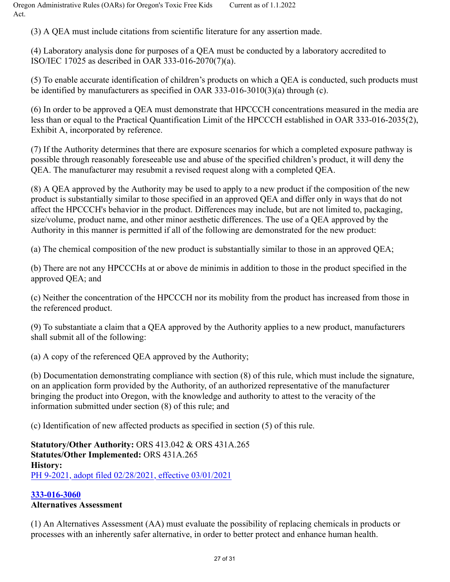(3) A QEA must include citations from scientific literature for any assertion made.

(4) Laboratory analysis done for purposes of a QEA must be conducted by a laboratory accredited to ISO/IEC 17025 as described in OAR 333-016-2070(7)(a).

(5) To enable accurate identification of children's products on which a QEA is conducted, such products must be identified by manufacturers as specified in OAR 333-016-3010(3)(a) through (c).

(6) In order to be approved a QEA must demonstrate that HPCCCH concentrations measured in the media are less than or equal to the Practical Quantification Limit of the HPCCCH established in OAR 333-016-2035(2), Exhibit A, incorporated by reference.

(7) If the Authority determines that there are exposure scenarios for which a completed exposure pathway is possible through reasonably foreseeable use and abuse of the specified children's product, it will deny the QEA. The manufacturer may resubmit a revised request along with a completed QEA.

(8) A QEA approved by the Authority may be used to apply to a new product if the composition of the new product is substantially similar to those specified in an approved QEA and differ only in ways that do not affect the HPCCCH's behavior in the product. Differences may include, but are not limited to, packaging, size/volume, product name, and other minor aesthetic differences. The use of a QEA approved by the Authority in this manner is permitted if all of the following are demonstrated for the new product:

(a) The chemical composition of the new product is substantially similar to those in an approved QEA;

(b) There are not any HPCCCHs at or above de minimis in addition to those in the product specified in the approved QEA; and

(c) Neither the concentration of the HPCCCH nor its mobility from the product has increased from those in the referenced product.

(9) To substantiate a claim that a QEA approved by the Authority applies to a new product, manufacturers shall submit all of the following:

(a) A copy of the referenced QEA approved by the Authority;

(b) Documentation demonstrating compliance with section (8) of this rule, which must include the signature, on an application form provided by the Authority, of an authorized representative of the manufacturer bringing the product into Oregon, with the knowledge and authority to attest to the veracity of the information submitted under section (8) of this rule; and

(c) Identification of new affected products as specified in section (5) of this rule.

**Statutory/Other Authority:** ORS 413.042 & ORS 431A.265 **Statutes/Other Implemented:** ORS 431A.265 **History:** PH 9-2021, adopt filed 02/28/2021, effective 03/01/2021

# **333-016-3060**

## **Alternatives Assessment**

(1) An Alternatives Assessment (AA) must evaluate the possibility of replacing chemicals in products or processes with an inherently safer alternative, in order to better protect and enhance human health.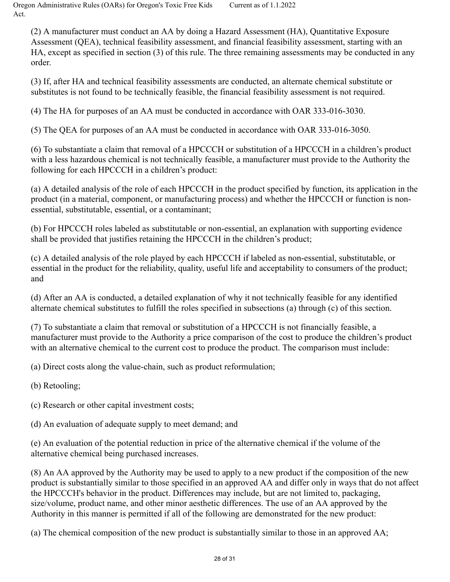Oregon Administrative Rules (OARs) for Oregon's Toxic Free Kids Act. Current as of 1.1.2022

(2) A manufacturer must conduct an AA by doing a Hazard Assessment (HA), Quantitative Exposure Assessment (QEA), technical feasibility assessment, and financial feasibility assessment, starting with an HA, except as specified in section (3) of this rule. The three remaining assessments may be conducted in any order.

(3) If, after HA and technical feasibility assessments are conducted, an alternate chemical substitute or substitutes is not found to be technically feasible, the financial feasibility assessment is not required.

(4) The HA for purposes of an AA must be conducted in accordance with OAR 333-016-3030.

(5) The QEA for purposes of an AA must be conducted in accordance with OAR 333-016-3050.

(6) To substantiate a claim that removal of a HPCCCH or substitution of a HPCCCH in a children's product with a less hazardous chemical is not technically feasible, a manufacturer must provide to the Authority the following for each HPCCCH in a children's product:

(a) A detailed analysis of the role of each HPCCCH in the product specified by function, its application in the product (in a material, component, or manufacturing process) and whether the HPCCCH or function is nonessential, substitutable, essential, or a contaminant;

(b) For HPCCCH roles labeled as substitutable or non-essential, an explanation with supporting evidence shall be provided that justifies retaining the HPCCCH in the children's product;

(c) A detailed analysis of the role played by each HPCCCH if labeled as non-essential, substitutable, or essential in the product for the reliability, quality, useful life and acceptability to consumers of the product; and

(d) After an AA is conducted, a detailed explanation of why it not technically feasible for any identified alternate chemical substitutes to fulfill the roles specified in subsections (a) through (c) of this section.

(7) To substantiate a claim that removal or substitution of a HPCCCH is not financially feasible, a manufacturer must provide to the Authority a price comparison of the cost to produce the children's product with an alternative chemical to the current cost to produce the product. The comparison must include:

(a) Direct costs along the value-chain, such as product reformulation;

(b) Retooling;

(c) Research or other capital investment costs;

(d) An evaluation of adequate supply to meet demand; and

(e) An evaluation of the potential reduction in price of the alternative chemical if the volume of the alternative chemical being purchased increases.

(8) An AA approved by the Authority may be used to apply to a new product if the composition of the new product is substantially similar to those specified in an approved AA and differ only in ways that do not affect the HPCCCH's behavior in the product. Differences may include, but are not limited to, packaging, size/volume, product name, and other minor aesthetic differences. The use of an AA approved by the Authority in this manner is permitted if all of the following are demonstrated for the new product:

(a) The chemical composition of the new product is substantially similar to those in an approved AA;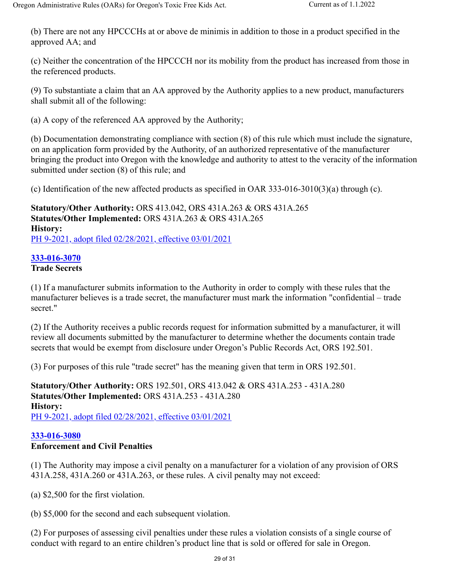(b) There are not any HPCCCHs at or above de minimis in addition to those in a product specified in the approved AA; and

(c) Neither the concentration of the HPCCCH nor its mobility from the product has increased from those in the referenced products.

(9) To substantiate a claim that an AA approved by the Authority applies to a new product, manufacturers shall submit all of the following:

(a) A copy of the referenced AA approved by the Authority;

(b) Documentation demonstrating compliance with section (8) of this rule which must include the signature, on an application form provided by the Authority, of an authorized representative of the manufacturer bringing the product into Oregon with the knowledge and authority to attest to the veracity of the information submitted under section (8) of this rule; and

(c) Identification of the new affected products as specified in OAR 333-016-3010(3)(a) through (c).

**Statutory/Other Authority:** ORS 413.042, ORS 431A.263 & ORS 431A.265 **Statutes/Other Implemented:** ORS 431A.263 & ORS 431A.265 **History:** PH 9-2021, adopt filed 02/28/2021, effective 03/01/2021

**333-016-3070**

# **Trade Secrets**

(1) If a manufacturer submits information to the Authority in order to comply with these rules that the manufacturer believes is a trade secret, the manufacturer must mark the information "confidential – trade secret."

(2) If the Authority receives a public records request for information submitted by a manufacturer, it will review all documents submitted by the manufacturer to determine whether the documents contain trade secrets that would be exempt from disclosure under Oregon's Public Records Act, ORS 192.501.

(3) For purposes of this rule "trade secret" has the meaning given that term in ORS 192.501.

**Statutory/Other Authority:** ORS 192.501, ORS 413.042 & ORS 431A.253 - 431A.280 **Statutes/Other Implemented:** ORS 431A.253 - 431A.280 **History:** PH 9-2021, adopt filed 02/28/2021, effective 03/01/2021

#### **333-016-3080 Enforcement and Civil Penalties**

(1) The Authority may impose a civil penalty on a manufacturer for a violation of any provision of ORS 431A.258, 431A.260 or 431A.263, or these rules. A civil penalty may not exceed:

(a) \$2,500 for the first violation.

(b) \$5,000 for the second and each subsequent violation.

(2) For purposes of assessing civil penalties under these rules a violation consists of a single course of conduct with regard to an entire children's product line that is sold or offered for sale in Oregon.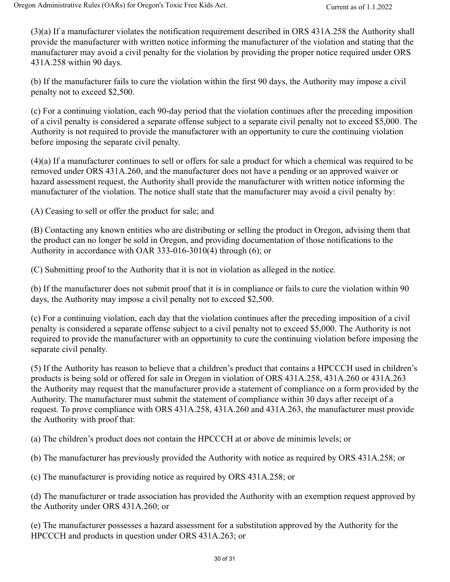(3)(a) If a manufacturer violates the notification requirement described in ORS 431A.258 the Authority shall provide the manufacturer with written notice informing the manufacturer of the violation and stating that the manufacturer may avoid a civil penalty for the violation by providing the proper notice required under ORS 431A.258 within 90 days.

(b) If the manufacturer fails to cure the violation within the first 90 days, the Authority may impose a civil penalty not to exceed \$2,500.

(c) For a continuing violation, each 90-day period that the violation continues after the preceding imposition of a civil penalty is considered a separate offense subject to a separate civil penalty not to exceed \$5,000. The Authority is not required to provide the manufacturer with an opportunity to cure the continuing violation before imposing the separate civil penalty.

(4)(a) If a manufacturer continues to sell or offers for sale a product for which a chemical was required to be removed under ORS 431A.260, and the manufacturer does not have a pending or an approved waiver or hazard assessment request, the Authority shall provide the manufacturer with written notice informing the manufacturer of the violation. The notice shall state that the manufacturer may avoid a civil penalty by:

(A) Ceasing to sell or offer the product for sale; and

(B) Contacting any known entities who are distributing or selling the product in Oregon, advising them that the product can no longer be sold in Oregon, and providing documentation of those notifications to the Authority in accordance with OAR 333-016-3010(4) through (6); or

(C) Submitting proof to the Authority that it is not in violation as alleged in the notice.

(b) If the manufacturer does not submit proof that it is in compliance or fails to cure the violation within 90 days, the Authority may impose a civil penalty not to exceed \$2,500.

(c) For a continuing violation, each day that the violation continues after the preceding imposition of a civil penalty is considered a separate offense subject to a civil penalty not to exceed \$5,000. The Authority is not required to provide the manufacturer with an opportunity to cure the continuing violation before imposing the separate civil penalty.

(5) If the Authority has reason to believe that a children's product that contains a HPCCCH used in children's products is being sold or offered for sale in Oregon in violation of ORS 431A.258, 431A.260 or 431A.263 the Authority may request that the manufacturer provide a statement of compliance on a form provided by the Authority. The manufacturer must submit the statement of compliance within 30 days after receipt of a request. To prove compliance with ORS 431A.258, 431A.260 and 431A.263, the manufacturer must provide the Authority with proof that:

(a) The children's product does not contain the HPCCCH at or above de minimis levels; or

(b) The manufacturer has previously provided the Authority with notice as required by ORS 431A.258; or

(c) The manufacturer is providing notice as required by ORS 431A.258; or

(d) The manufacturer or trade association has provided the Authority with an exemption request approved by the Authority under ORS 431A.260; or

(e) The manufacturer possesses a hazard assessment for a substitution approved by the Authority for the HPCCCH and products in question under ORS 431A.263; or